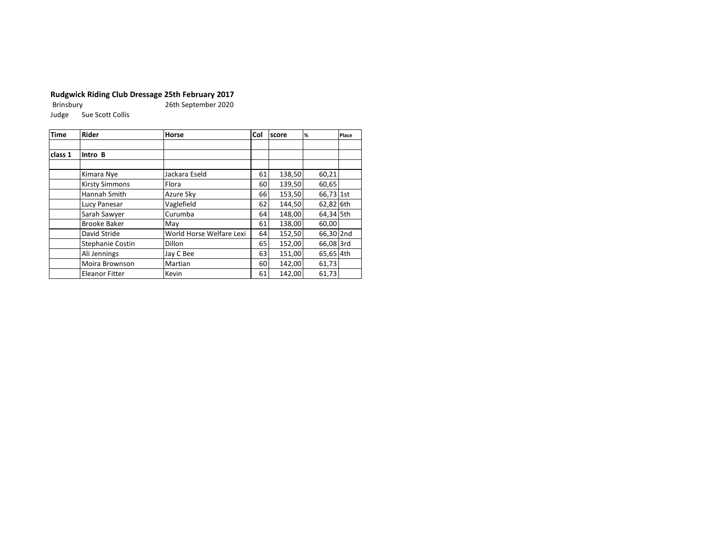**Rudgwick Riding Club Dressage 25th February 2017** 26th September 2020 Judge Sue Scott Collis

| <b>Time</b> | <b>Rider</b>            | Horse                    | Col | <b>score</b> | %         | Place |
|-------------|-------------------------|--------------------------|-----|--------------|-----------|-------|
|             |                         |                          |     |              |           |       |
| class 1     | Intro B                 |                          |     |              |           |       |
|             |                         |                          |     |              |           |       |
|             | Kimara Nye              | Jackara Eseld            | 61  | 138,50       | 60,21     |       |
|             | <b>Kirsty Simmons</b>   | Flora                    | 60  | 139,50       | 60,65     |       |
|             | Hannah Smith            | Azure Sky                | 66  | 153,50       | 66,73 1st |       |
|             | Lucy Panesar            | Vaglefield               | 62  | 144,50       | 62,82 6th |       |
|             | Sarah Sawyer            | Curumba                  | 64  | 148,00       | 64,34 5th |       |
|             | <b>Brooke Baker</b>     | May                      | 61  | 138,00       | 60,00     |       |
|             | David Stride            | World Horse Welfare Lexi | 64  | 152,50       | 66,30 2nd |       |
|             | <b>Stephanie Costin</b> | Dillon                   | 65  | 152,00       | 66,08 3rd |       |
|             | Ali Jennings            | Jay C Bee                | 63  | 151,00       | 65,65 4th |       |
|             | <b>Moira Brownson</b>   | Martian                  | 60  | 142,00       | 61,73     |       |
|             | <b>Eleanor Fitter</b>   | Kevin                    | 61  | 142,00       | 61,73     |       |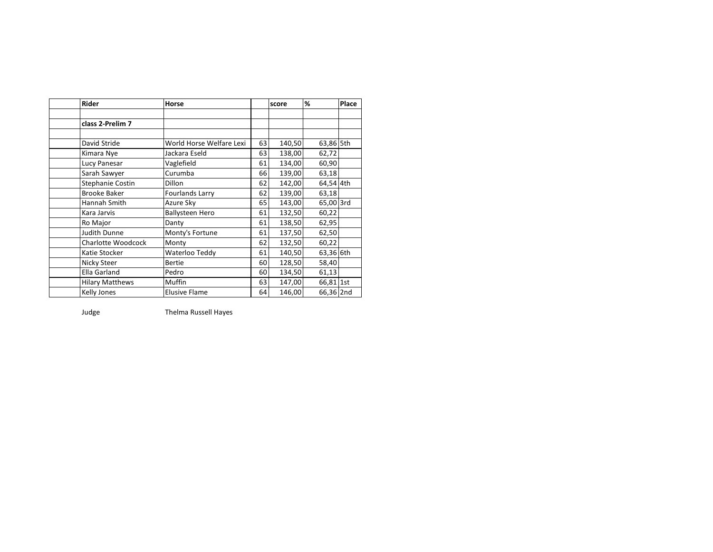| <b>Rider</b>              | Horse                    |    | score  | %         | Place |
|---------------------------|--------------------------|----|--------|-----------|-------|
|                           |                          |    |        |           |       |
| class 2-Prelim 7          |                          |    |        |           |       |
|                           |                          |    |        |           |       |
| David Stride              | World Horse Welfare Lexi | 63 | 140,50 | 63,86 5th |       |
| Kimara Nye                | Jackara Eseld            | 63 | 138,00 | 62,72     |       |
| Lucy Panesar              | Vaglefield               | 61 | 134,00 | 60,90     |       |
| Sarah Sawyer              | Curumba                  | 66 | 139,00 | 63,18     |       |
| Stephanie Costin          | Dillon                   | 62 | 142,00 | 64,54 4th |       |
| <b>Brooke Baker</b>       | <b>Fourlands Larry</b>   | 62 | 139,00 | 63,18     |       |
| Hannah Smith              | Azure Sky                | 65 | 143,00 | 65,00 3rd |       |
| Kara Jarvis               | <b>Ballysteen Hero</b>   | 61 | 132,50 | 60,22     |       |
| Ro Major                  | Danty                    | 61 | 138,50 | 62,95     |       |
| Judith Dunne              | Monty's Fortune          | 61 | 137,50 | 62,50     |       |
| <b>Charlotte Woodcock</b> | Monty                    | 62 | 132,50 | 60,22     |       |
| Katie Stocker             | Waterloo Teddy           | 61 | 140,50 | 63,36 6th |       |
| Nicky Steer               | <b>Bertie</b>            | 60 | 128,50 | 58,40     |       |
| Ella Garland              | Pedro                    | 60 | 134,50 | 61,13     |       |
| <b>Hilary Matthews</b>    | Muffin                   | 63 | 147,00 | 66,81 1st |       |
| Kelly Jones               | <b>Elusive Flame</b>     | 64 | 146,00 | 66,36 2nd |       |

Judge Thelma Russell Hayes